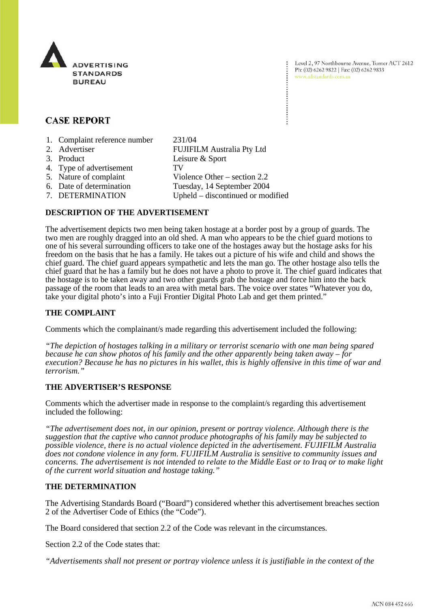

Level 2, 97 Northbourne Avenue, Turner ACT 2612 Ph: (02) 6262 9822 | Fax: (02) 6262 9833 www.adstandards.com.au

# **CASE REPORT**

- 1. Complaint reference number 231/04
- 2. Advertiser FUJIFILM Australia Pty Ltd 3. Product Leisure & Sport 4. Type of advertisement TV 5. Nature of complaint Violence Other – section 2.2 6. Date of determination Tuesday, 14 September 2004 7. DETERMINATION Upheld – discontinued or modified

## **DESCRIPTION OF THE ADVERTISEMENT**

The advertisement depicts two men being taken hostage at a border post by a group of guards. The two men are roughly dragged into an old shed. A man who appears to be the chief guard motions to one of his several surrounding officers to take one of the hostages away but the hostage asks for his freedom on the basis that he has a family. He takes out a picture of his wife and child and shows the chief guard. The chief guard appears sympathetic and lets the man go. The other hostage also tells the chief guard that he has a family but he does not have a photo to prove it. The chief guard indicates that the hostage is to be taken away and two other guards grab the hostage and force him into the back passage of the room that leads to an area with metal bars. The voice over states "Whatever you do, take your digital photo's into a Fuji Frontier Digital Photo Lab and get them printed."

## **THE COMPLAINT**

Comments which the complainant/s made regarding this advertisement included the following:

*"The depiction of hostages talking in a military or terrorist scenario with one man being spared because he can show photos of his family and the other apparently being taken away – for execution? Because he has no pictures in his wallet, this is highly offensive in this time of war and terrorism."*

## **THE ADVERTISER'S RESPONSE**

Comments which the advertiser made in response to the complaint/s regarding this advertisement included the following:

*"The advertisement does not, in our opinion, present or portray violence. Although there is the suggestion that the captive who cannot produce photographs of his family may be subjected to possible violence, there is no actual violence depicted in the advertisement. FUJIFILM Australia does not condone violence in any form. FUJIFILM Australia is sensitive to community issues and concerns. The advertisement is not intended to relate to the Middle East or to Iraq or to make light of the current world situation and hostage taking."*

## **THE DETERMINATION**

The Advertising Standards Board ("Board") considered whether this advertisement breaches section 2 of the Advertiser Code of Ethics (the "Code").

The Board considered that section 2.2 of the Code was relevant in the circumstances.

Section 2.2 of the Code states that:

*"Advertisements shall not present or portray violence unless it is justifiable in the context of the*